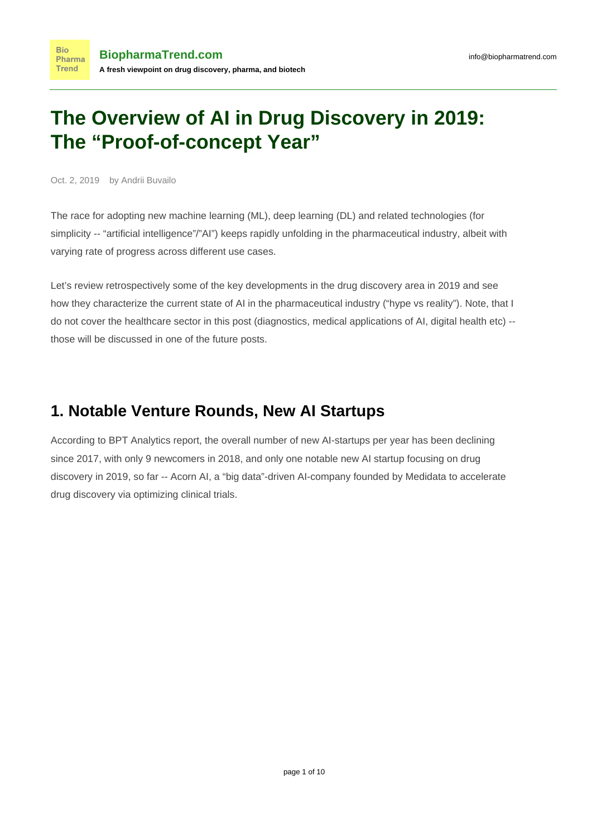# **The Overview of AI in Drug Discovery in 2019: The "Proof-of-concept Year"**

Oct. 2, 2019 by Andrii Buvailo

The race for adopting new machine learning (ML), deep learning (DL) and related technologies (for simplicity -- "artificial intelligence"/"AI") keeps rapidly unfolding in the pharmaceutical industry, albeit with [varying rate of progress across different use cases.](https://www.biopharmatrend.com/post/86-assessing-ai-in-pharma-productivity-any-results-so-far/)

Let's review retrospectively some of the key developments in the drug discovery area in 2019 and see how they characterize the current state of AI in the pharmaceutical industry ("hype vs reality"). Note, that I do not cover the healthcare sector in this post (diagnostics, medical applications of AI, digital health etc) - those will be discussed in one of the future posts.

# **1. Notable Venture Rounds, New AI Startups**

According to [BPT Analytics report](https://www.biopharmatrend.com/m/free-reports/ai/), the overall number of new AI-startups per year has been declining since 2017, with only 9 newcomers in 2018, and only one notable new AI startup focusing on drug discovery in 2019, so far -- [Acorn AI,](https://www.biopharmatrend.com/m/company/acorn-ai/) a "big data"-driven AI-company founded by Medidata to accelerate drug discovery via optimizing clinical trials.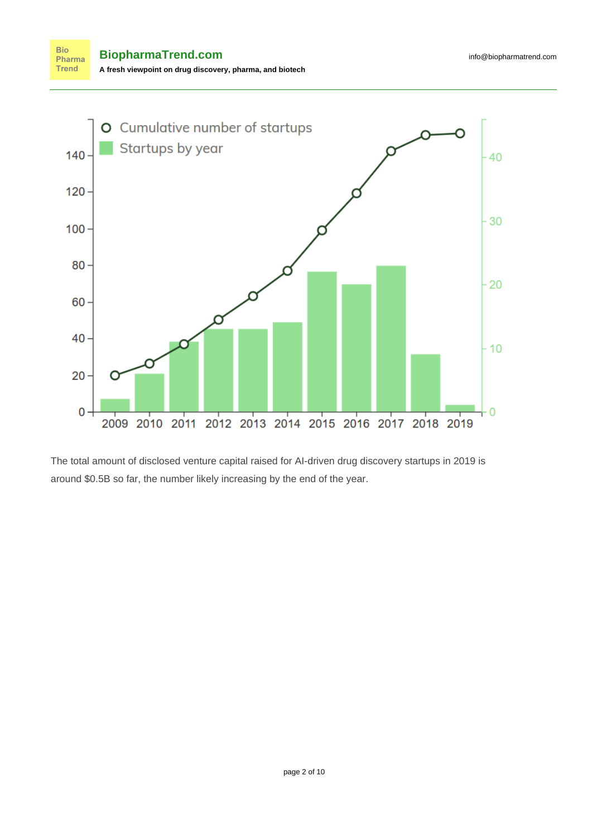

The total amount of disclosed venture capital raised for AI-driven drug discovery startups in 2019 is around \$0.5B so far, the number likely increasing by the end of the year.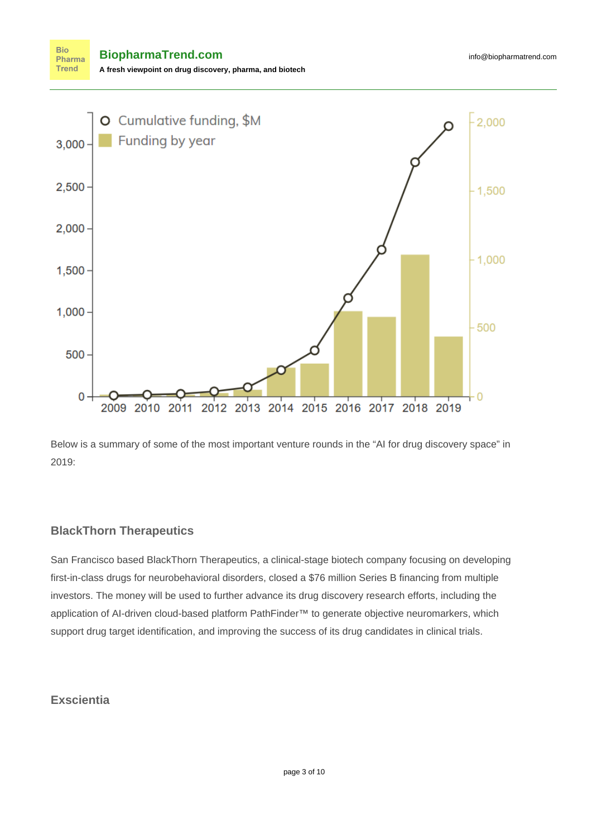**Bio BiopharmaTrend.com** Pharma **Trend A fresh viewpoint on drug discovery, pharma, and biotech**



Below is a summary of some of the most important venture rounds in the "AI for drug discovery space" in 2019:

#### **BlackThorn Therapeutics**

San Francisco based [BlackThorn Therapeutics,](https://www.biopharmatrend.com/m/company/blackthorn-therapeutics/) a clinical-stage biotech company focusing on developing first-in-class drugs for neurobehavioral disorders, [closed a \\$76 million Series B financing](http://www.finsmes.com/2019/06/blackthorn-therapeutics-completes-76m-series-b-funding.html) from multiple investors. The money will be used to further advance its drug discovery research efforts, including the application of AI-driven cloud-based platform PathFinder™ to generate objective neuromarkers, which support drug target identification, and improving the success of its drug candidates in clinical trials.

### **Exscientia**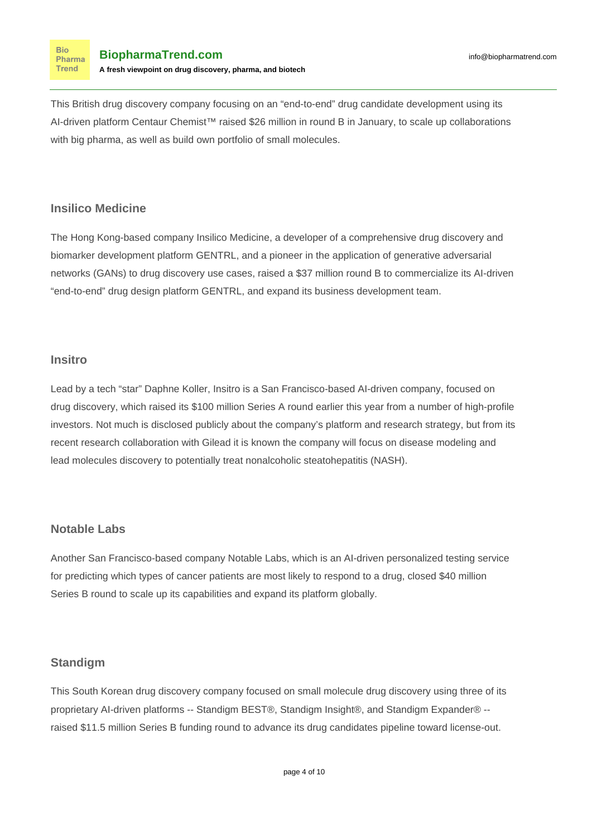**Bio** Pharma **Trend** 

This British drug discovery company focusing on an "end-to-end" drug candidate development using its AI-driven platform Centaur Chemist™ raised \$26 million in round B in January, to scale up collaborations with big pharma, as well as build own portfolio of small molecules.

### **Insilico Medicine**

The Hong Kong-based company Insilico Medicine, a developer of a comprehensive drug discovery and biomarker development platform GENTRL, and a pioneer in the application of generative adversarial networks (GANs) to drug discovery use cases, raised a \$37 million round B to commercialize its AI-driven "end-to-end" drug design platform GENTRL, and expand its business development team.

# **Insitro**

Lead by a tech "star" Daphne Koller, [Insitro](https://www.biopharmatrend.com/m/company/insitro/) is a San Francisco-based AI-driven company, focused on drug discovery, which raised its \$100 million Series A round earlier this year from a number of high-profile investors. Not much is disclosed publicly about the company's platform and research strategy, but from its recent research collaboration with Gilead it is known the company will focus on disease modeling and lead molecules discovery to potentially treat nonalcoholic steatohepatitis (NASH).

# **Notable Labs**

Another San Francisco-based company [Notable Labs](https://www.biopharmatrend.com/m/company/notable-labs/), which is an AI-driven personalized testing service for predicting which types of cancer patients are most likely to respond to a drug, [closed \\$40 million](https://www.fiercebiotech.com/biotech/notable-labs-lands-40m-to-expand-ai-based-cancer-treatment-tech) [Series B](https://www.fiercebiotech.com/biotech/notable-labs-lands-40m-to-expand-ai-based-cancer-treatment-tech) round to scale up its capabilities and expand its platform globally.

# **Standigm**

This South Korean drug discovery [company](https://www.biopharmatrend.com/m/company/standigm/) focused on small molecule drug discovery using three of its proprietary AI-driven platforms -- Standigm BEST®, Standigm Insight®, and Standigm Expander® - raised [\\$11.5 million Series B](https://www.bio-itworld.com/Press-Release/Standigm-Raises-US-$11-5-Million-in-Series-B-Round-Funding-to-advance-its-AI-powered-drug-pipelines-toward-license-out-/) funding round to advance its drug candidates pipeline toward license-out.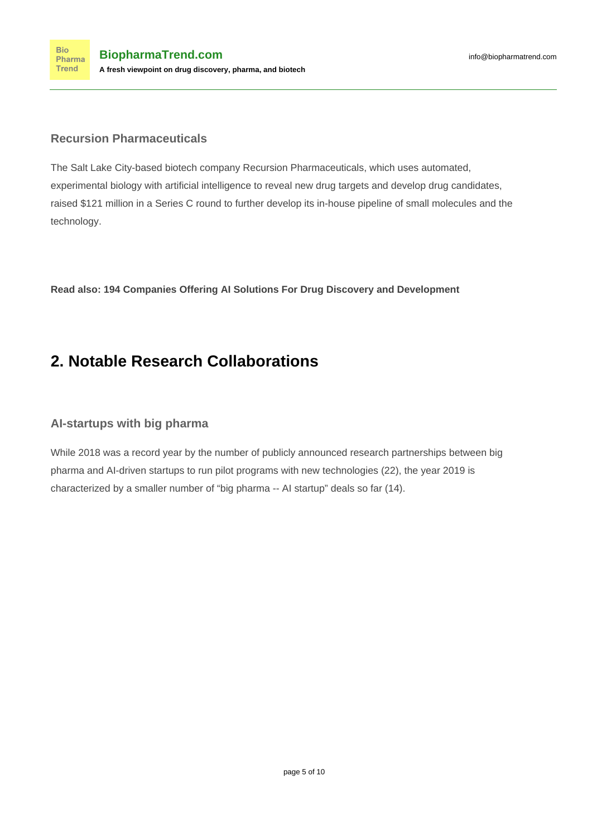#### **Recursion Pharmaceuticals**

The Salt Lake City-based biotech company [Recursion Pharmaceuticals](https://www.biopharmatrend.com/m/company/recursion-pharmaceuticals/), which uses automated, experimental biology with artificial intelligence to reveal new drug targets and develop drug candidates, [raised \\$121 million](https://www.businesswire.com/news/home/20190715005073/en/Recursion-Pharmaceuticals-Secures-121-Million-Series-Financing) in a Series C round to further develop its in-house pipeline of small molecules and the technology.

**Read also: [194 Companies Offering AI Solutions For Drug Discovery and Development](https://www.biopharmatrend.com/m/companies/ai/)**

# **2. Notable Research Collaborations**

# **AI-startups with big pharma**

While 2018 was a record year by the number of publicly announced research partnerships between big pharma and AI-driven startups to run pilot programs with new technologies (22), the year 2019 is characterized by a smaller number of "big pharma -- AI startup" deals so far (14).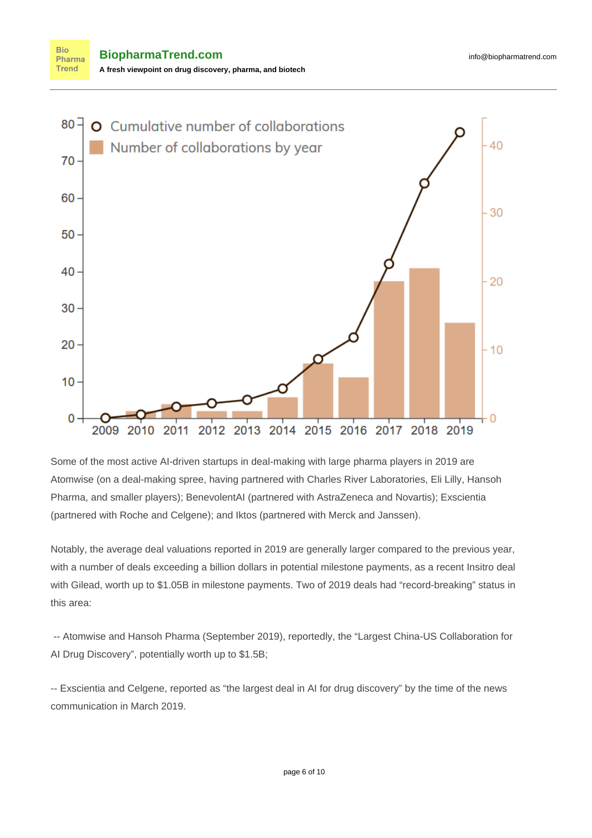

Some of the most active AI-driven startups in deal-making with large pharma players in 2019 are Atomwise (on a deal-making spree, having partnered with Charles River Laboratories, Eli Lilly, Hansoh Pharma, and smaller players); BenevolentAI (partnered with AstraZeneca and Novartis); Exscientia (partnered with Roche and Celgene); and Iktos (partnered with Merck and Janssen).

Notably, the average deal valuations reported in 2019 are generally larger compared to the previous year, with a number of deals exceeding a billion dollars in potential milestone payments, as a recent Insitro deal with Gilead, worth up to \$1.05B in milestone payments. Two of 2019 deals had "record-breaking" status in this area:

-- Atomwise and Hansoh Pharma (September 2019), reportedly, the ["Largest China-US Collaboration for](https://www.businesswire.com/news/home/20190911005824/en/Atomwise-Announces-Largest-China-US-Collaboration-AI-Drug) [AI Drug Discovery"](https://www.businesswire.com/news/home/20190911005824/en/Atomwise-Announces-Largest-China-US-Collaboration-AI-Drug), potentially worth up to \$1.5B;

-- Exscientia and Celgene, reported as "[the largest deal in AI for drug discovery](https://www.labiotech.eu/medical/celgene-exscientia-ai-drug-discovery/)" by the time of the news communication in March 2019.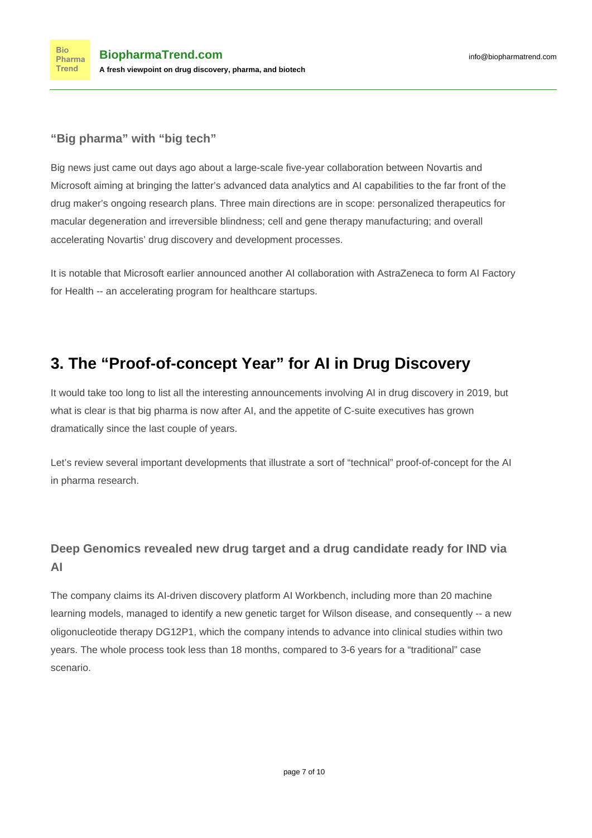# **"Big pharma" with "big tech"**

B[ig news](https://www.globenewswire.com/news-release/2019/10/01/1923463/0/en/Novartis-and-Microsoft-announce-collaboration-to-transform-medicine-with-artificial-intelligence.html) just came out days ago about a large-scale five-year collaboration between Novartis and Microsoft aiming at bringing the latter's advanced data analytics and AI capabilities to the far front of the drug maker's ongoing research plans. Three main directions are in scope: personalized therapeutics for macular degeneration and irreversible blindness; cell and gene therapy manufacturing; and overall accelerating Novartis' drug discovery and development processes.

It is notable that Microsoft earlier [announced](https://sciencebusiness.net/network-updates/microsoft-and-astrazeneca-join-forces-artificial-intelligence-healthcare) another AI collaboration with AstraZeneca to form AI Factory for Health -- an accelerating program for healthcare startups.

# **3. The "Proof-of-concept Year" for AI in Drug Discovery**

It would take too long to list all the interesting announcements involving AI in drug discovery in 2019, but what is clear is that big pharma is now after AI, and the appetite of C-suite executives has grown dramatically since the last couple of years.

Let's review several important developments that illustrate a sort of "technical" proof-of-concept for the AI in pharma research.

# **Deep Genomics revealed new drug target and a drug candidate ready for IND via AI**

The company [claims](https://www.genengnews.com/news/deep-genomics-identifies-ai-discovered-candidate-for-wilson-disease/) its AI-driven discovery platform AI Workbench, including more than 20 machine learning models, managed to identify a new genetic target for Wilson disease, and consequently -- a new oligonucleotide therapy DG12P1, which the company intends to advance into clinical studies within two years. The whole process took less than 18 months, compared to 3-6 years for a "traditional" case scenario.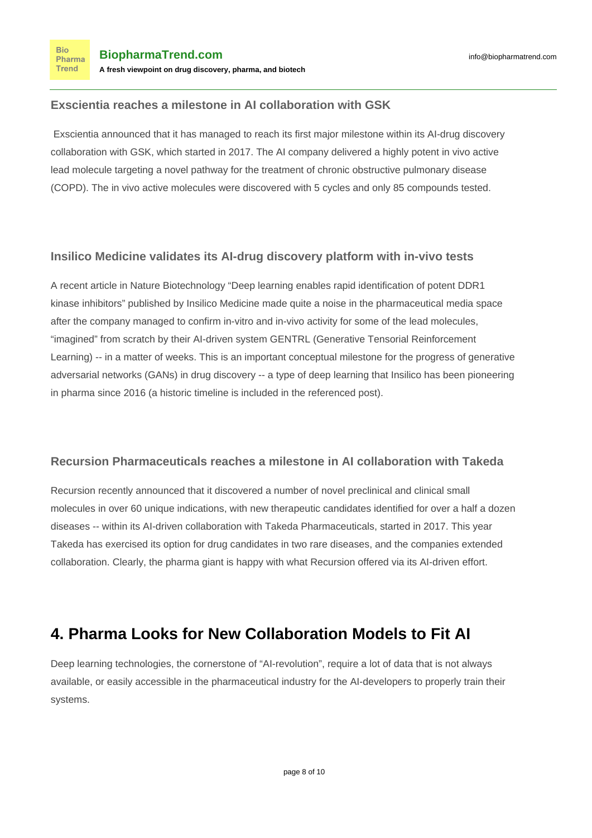#### **Exscientia reaches a milestone in AI collaboration with GSK**

Exscientia announced that it has managed to reach its first major milestone within its AI-drug discovery collaboration with GSK, which started in 2017. The AI company delivered a highly potent in vivo active lead molecule targeting a novel pathway for the treatment of chronic obstructive pulmonary disease (COPD). The in vivo active molecules were discovered with 5 cycles and only 85 compounds tested.

### **Insilico Medicine validates its AI-drug discovery platform with in-vivo tests**

A [recent article](https://www.nature.com/articles/s41587-019-0224-x) in Nature Biotechnology "Deep learning enables rapid identification of potent DDR1 kinase inhibitors" published by Insilico Medicine made quite a noise in the pharmaceutical media space after the company managed to confirm in-vitro and in-vivo activity for some of the lead molecules, "imagined" from scratch by their AI-driven system GENTRL (Generative Tensorial Reinforcement Learning) -- in a matter of weeks. This is an important conceptual milestone for the progress of generative adversarial networks (GANs) in drug discovery -- a type of deep learning that [Insilico has been pioneering](https://www.eurekalert.org/pub_releases/2019-09/dka-abi090319.php) [in pharma](https://www.eurekalert.org/pub_releases/2019-09/dka-abi090319.php) since 2016 (a historic timeline is included in the referenced post).

### **Recursion Pharmaceuticals reaches a milestone in AI collaboration with Takeda**

Recursion recently [announced](https://www.recursionpharma.com/press-article/recursion-announces-options-exercise-by-takeda-and-extension-of-ai-enabled-drug-discovery-collaboration/) that it discovered a number of novel preclinical and clinical small molecules in over 60 unique indications, with new therapeutic candidates identified for over a half a dozen diseases -- within its AI-driven collaboration with Takeda Pharmaceuticals, started in 2017. This year Takeda has exercised its option for drug candidates in two rare diseases, and the companies extended collaboration. Clearly, the pharma giant is happy with what Recursion offered via its AI-driven effort.

# **4. Pharma Looks for New Collaboration Models to Fit AI**

Deep learning technologies, the cornerstone of "AI-revolution", require a lot of data that is [not always](https://www.pistoiaalliance.org/news/ai_life_sciences_held_back_may2019/) [available, or easily accessible](https://www.pistoiaalliance.org/news/ai_life_sciences_held_back_may2019/) in the pharmaceutical industry for the AI-developers to properly train their systems.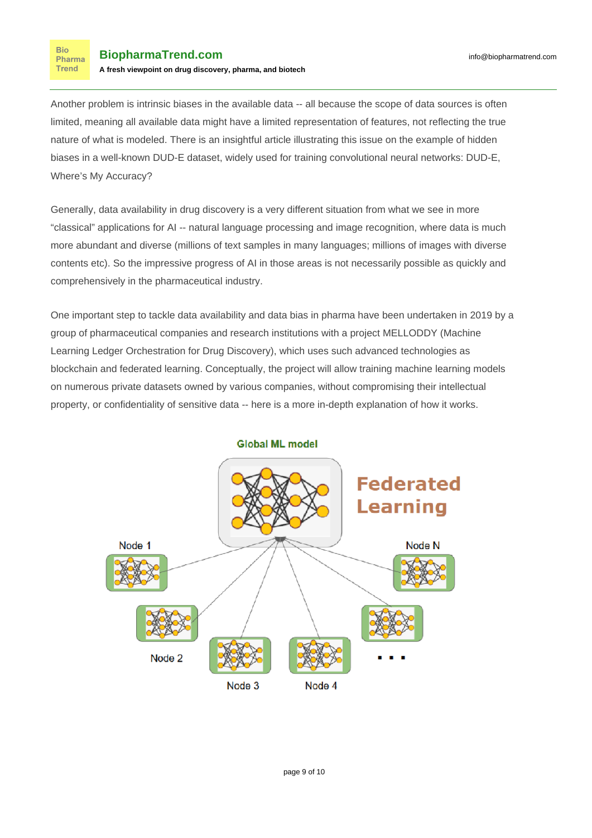**Bio** Pharma **Trend** 

Another problem is intrinsic biases in the available data -- all because the scope of data sources is often limited, meaning all available data might have a limited representation of features, not reflecting the true nature of what is modeled. There is an insightful article illustrating this issue on the example of hidden biases in a well-known DUD-E dataset, widely used for training convolutional neural networks: [DUD-E,](https://cyclicarx.com/news/predicting-drug-target-interactions) [Where's My Accuracy?](https://cyclicarx.com/news/predicting-drug-target-interactions)

Generally, data availability in drug discovery is a very different situation from what we see in more "classical" applications for AI -- natural language processing and image recognition, where data is much more abundant and diverse (millions of text samples in many languages; millions of images with diverse contents etc). So the impressive progress of AI in those areas is not necessarily possible as quickly and comprehensively in the pharmaceutical industry.

One important step to tackle data availability and data bias in pharma have been undertaken in 2019 by a group of pharmaceutical companies and research institutions with a project MELLODDY (Machine Learning Ledger Orchestration for Drug Discovery), which uses such advanced technologies as blockchain and federated learning. Conceptually, the project will allow training machine learning models on numerous private datasets owned by various companies, without compromising their intellectual property, or confidentiality of sensitive data -- [here](https://www.biopharmatrend.com/post/97-pharma-companies-join-forces-to-train-ai-for-drug-discovery-collectively/) is a more in-depth explanation of how it works.